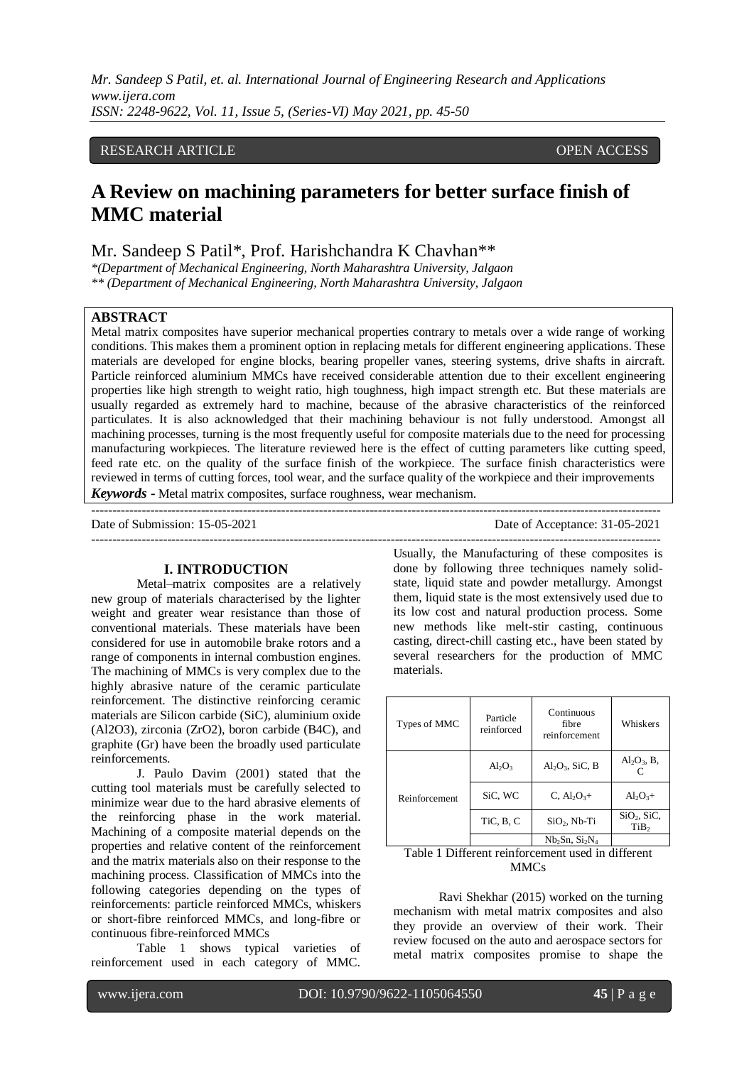# RESEARCH ARTICLE OPEN ACCESS

# **A Review on machining parameters for better surface finish of MMC material**

Mr. Sandeep S Patil\*, Prof. Harishchandra K Chavhan\*\*

*\*(Department of Mechanical Engineering, North Maharashtra University, Jalgaon \*\* (Department of Mechanical Engineering, North Maharashtra University, Jalgaon*

# **ABSTRACT**

Metal matrix composites have superior mechanical properties contrary to metals over a wide range of working conditions. This makes them a prominent option in replacing metals for different engineering applications. These materials are developed for engine blocks, bearing propeller vanes, steering systems, drive shafts in aircraft. Particle reinforced aluminium MMCs have received considerable attention due to their excellent engineering properties like high strength to weight ratio, high toughness, high impact strength etc. But these materials are usually regarded as extremely hard to machine, because of the abrasive characteristics of the reinforced particulates. It is also acknowledged that their machining behaviour is not fully understood. Amongst all machining processes, turning is the most frequently useful for composite materials due to the need for processing manufacturing workpieces. The literature reviewed here is the effect of cutting parameters like cutting speed, feed rate etc. on the quality of the surface finish of the workpiece. The surface finish characteristics were reviewed in terms of cutting forces, tool wear, and the surface quality of the workpiece and their improvements *Keywords* **-** Metal matrix composites, surface roughness, wear mechanism.

---------------------------------------------------------------------------------------------------------------------------------------

Date of Submission: 15-05-2021 Date of Acceptance: 31-05-2021

---------------------------------------------------------------------------------------------------------------------------------------

## **I. INTRODUCTION**

Metal–matrix composites are a relatively new group of materials characterised by the lighter weight and greater wear resistance than those of conventional materials. These materials have been considered for use in automobile brake rotors and a range of components in internal combustion engines. The machining of MMCs is very complex due to the highly abrasive nature of the ceramic particulate reinforcement. The distinctive reinforcing ceramic materials are Silicon carbide (SiC), aluminium oxide (Al2O3), zirconia (ZrO2), boron carbide (B4C), and graphite (Gr) have been the broadly used particulate reinforcements.

J. Paulo Davim (2001) stated that the cutting tool materials must be carefully selected to minimize wear due to the hard abrasive elements of the reinforcing phase in the work material. Machining of a composite material depends on the properties and relative content of the reinforcement and the matrix materials also on their response to the machining process. Classification of MMCs into the following categories depending on the types of reinforcements: particle reinforced MMCs, whiskers or short-fibre reinforced MMCs, and long-fibre or continuous fibre-reinforced MMCs

Table 1 shows typical varieties of reinforcement used in each category of MMC.

Usually, the Manufacturing of these composites is done by following three techniques namely solidstate, liquid state and powder metallurgy. Amongst them, liquid state is the most extensively used due to its low cost and natural production process. Some new methods like melt-stir casting, continuous casting, direct-chill casting etc., have been stated by several researchers for the production of MMC materials.

| Types of MMC  | Particle<br>reinforced | Continuous<br>fibre<br>reinforcement | Whiskers                                    |
|---------------|------------------------|--------------------------------------|---------------------------------------------|
| Reinforcement | $Al_2O_3$              | $Al_2O_3$ , SiC, B                   | $Al_2O_3$ , B,                              |
|               | SiC, WC                | $C, Al_2O_{3+}$                      | $Al_2O_3+$                                  |
|               | TiC, B, C              | $SiO2$ , Nb-Ti                       | SiO <sub>2</sub> , SiC,<br>TiB <sub>2</sub> |
|               |                        | $Nb2Sn, Si2N4$                       |                                             |

### Table 1 Different reinforcement used in different MMC<sub>s</sub>

Ravi Shekhar (2015) worked on the turning mechanism with metal matrix composites and also they provide an overview of their work. Their review focused on the auto and aerospace sectors for metal matrix composites promise to shape the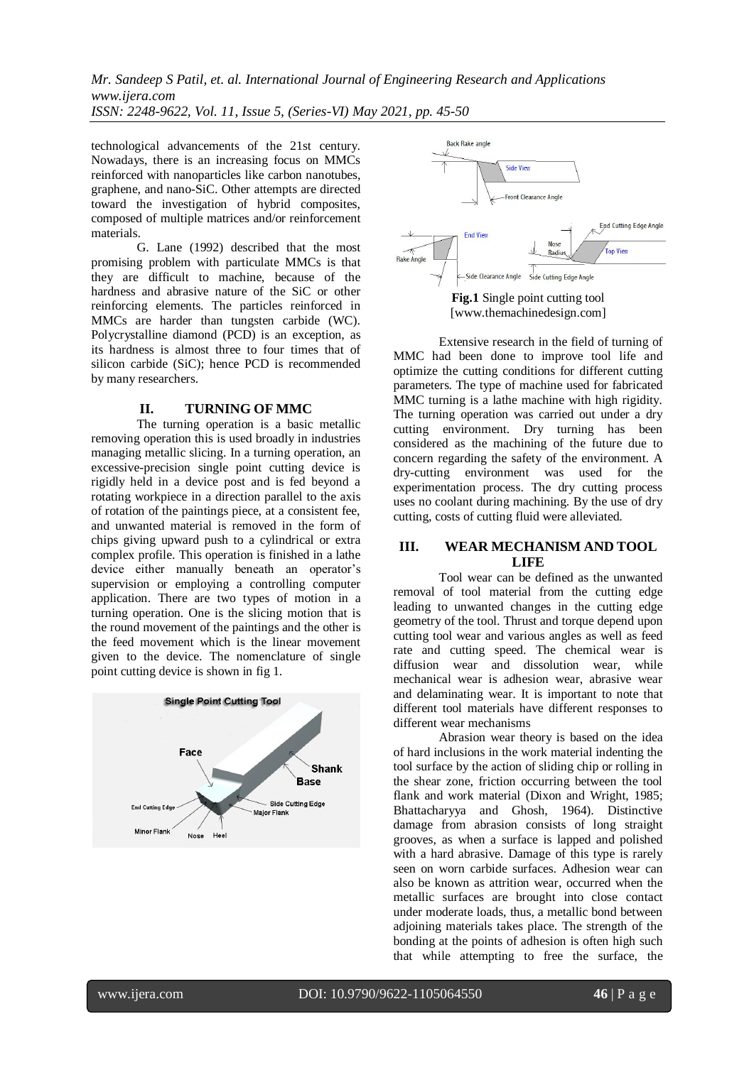technological advancements of the 21st century. Nowadays, there is an increasing focus on MMCs reinforced with nanoparticles like carbon nanotubes, graphene, and nano-SiC. Other attempts are directed toward the investigation of hybrid composites, composed of multiple matrices and/or reinforcement materials.

G. Lane (1992) described that the most promising problem with particulate MMCs is that they are difficult to machine, because of the hardness and abrasive nature of the SiC or other reinforcing elements. The particles reinforced in MMCs are harder than tungsten carbide (WC). Polycrystalline diamond (PCD) is an exception, as its hardness is almost three to four times that of silicon carbide (SiC); hence PCD is recommended by many researchers.

## **II. TURNING OF MMC**

The turning operation is a basic metallic removing operation this is used broadly in industries managing metallic slicing. In a turning operation, an excessive-precision single point cutting device is rigidly held in a device post and is fed beyond a rotating workpiece in a direction parallel to the axis of rotation of the paintings piece, at a consistent fee, and unwanted material is removed in the form of chips giving upward push to a cylindrical or extra complex profile. This operation is finished in a lathe device either manually beneath an operator's supervision or employing a controlling computer application. There are two types of motion in a turning operation. One is the slicing motion that is the round movement of the paintings and the other is the feed movement which is the linear movement given to the device. The nomenclature of single point cutting device is shown in fig 1.







Extensive research in the field of turning of MMC had been done to improve tool life and optimize the cutting conditions for different cutting parameters. The type of machine used for fabricated MMC turning is a lathe machine with high rigidity. The turning operation was carried out under a dry cutting environment. Dry turning has been considered as the machining of the future due to concern regarding the safety of the environment. A dry-cutting environment was used for the experimentation process. The dry cutting process uses no coolant during machining. By the use of dry cutting, costs of cutting fluid were alleviated.

# **III. WEAR MECHANISM AND TOOL LIFE**

Tool wear can be defined as the unwanted removal of tool material from the cutting edge leading to unwanted changes in the cutting edge geometry of the tool. Thrust and torque depend upon cutting tool wear and various angles as well as feed rate and cutting speed. The chemical wear is diffusion wear and dissolution wear, while mechanical wear is adhesion wear, abrasive wear and delaminating wear. It is important to note that different tool materials have different responses to different wear mechanisms

Abrasion wear theory is based on the idea of hard inclusions in the work material indenting the tool surface by the action of sliding chip or rolling in the shear zone, friction occurring between the tool flank and work material (Dixon and Wright, 1985; Bhattacharyya and Ghosh, 1964). Distinctive damage from abrasion consists of long straight grooves, as when a surface is lapped and polished with a hard abrasive. Damage of this type is rarely seen on worn carbide surfaces. Adhesion wear can also be known as attrition wear, occurred when the metallic surfaces are brought into close contact under moderate loads, thus, a metallic bond between adjoining materials takes place. The strength of the bonding at the points of adhesion is often high such that while attempting to free the surface, the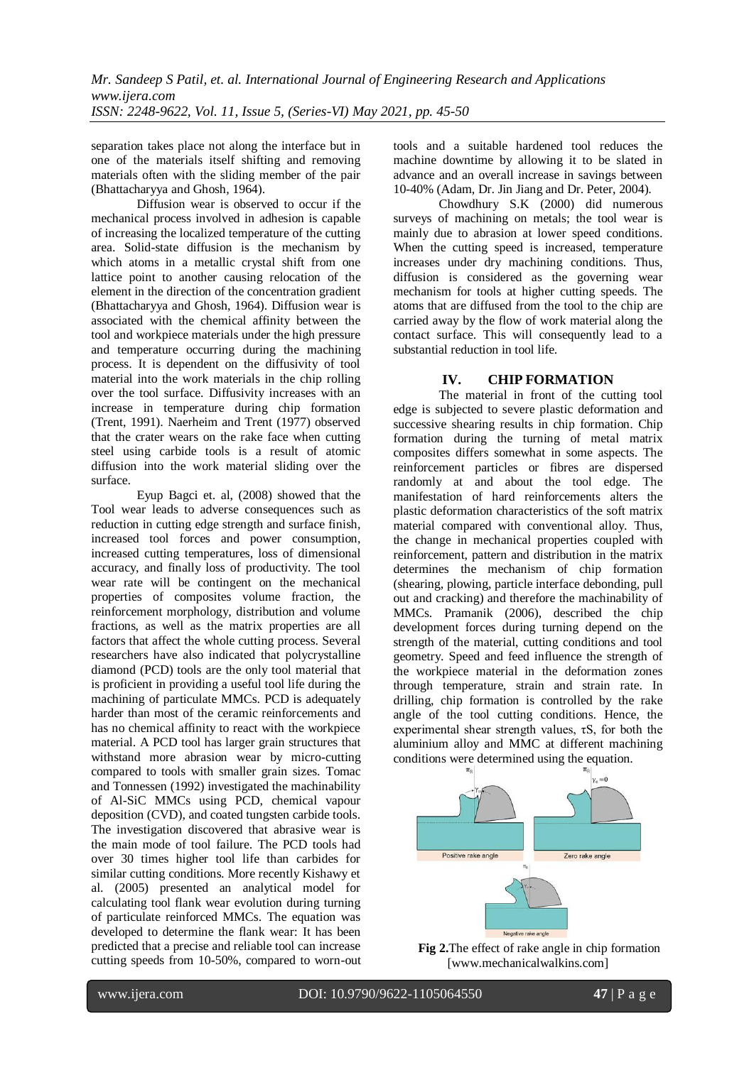separation takes place not along the interface but in one of the materials itself shifting and removing materials often with the sliding member of the pair (Bhattacharyya and Ghosh, 1964).

Diffusion wear is observed to occur if the mechanical process involved in adhesion is capable of increasing the localized temperature of the cutting area. Solid-state diffusion is the mechanism by which atoms in a metallic crystal shift from one lattice point to another causing relocation of the element in the direction of the concentration gradient (Bhattacharyya and Ghosh, 1964). Diffusion wear is associated with the chemical affinity between the tool and workpiece materials under the high pressure and temperature occurring during the machining process. It is dependent on the diffusivity of tool material into the work materials in the chip rolling over the tool surface. Diffusivity increases with an increase in temperature during chip formation (Trent, 1991). Naerheim and Trent (1977) observed that the crater wears on the rake face when cutting steel using carbide tools is a result of atomic diffusion into the work material sliding over the surface.

Eyup Bagci et. al, (2008) showed that the Tool wear leads to adverse consequences such as reduction in cutting edge strength and surface finish, increased tool forces and power consumption, increased cutting temperatures, loss of dimensional accuracy, and finally loss of productivity. The tool wear rate will be contingent on the mechanical properties of composites volume fraction, the reinforcement morphology, distribution and volume fractions, as well as the matrix properties are all factors that affect the whole cutting process. Several researchers have also indicated that polycrystalline diamond (PCD) tools are the only tool material that is proficient in providing a useful tool life during the machining of particulate MMCs. PCD is adequately harder than most of the ceramic reinforcements and has no chemical affinity to react with the workpiece material. A PCD tool has larger grain structures that withstand more abrasion wear by micro-cutting compared to tools with smaller grain sizes. Tomac and Tonnessen (1992) investigated the machinability of Al-SiC MMCs using PCD, chemical vapour deposition (CVD), and coated tungsten carbide tools. The investigation discovered that abrasive wear is the main mode of tool failure. The PCD tools had over 30 times higher tool life than carbides for similar cutting conditions. More recently Kishawy et al. (2005) presented an analytical model for calculating tool flank wear evolution during turning of particulate reinforced MMCs. The equation was developed to determine the flank wear: It has been predicted that a precise and reliable tool can increase cutting speeds from 10-50%, compared to worn-out tools and a suitable hardened tool reduces the machine downtime by allowing it to be slated in advance and an overall increase in savings between 10-40% (Adam, Dr. Jin Jiang and Dr. Peter, 2004).

Chowdhury S.K (2000) did numerous surveys of machining on metals; the tool wear is mainly due to abrasion at lower speed conditions. When the cutting speed is increased, temperature increases under dry machining conditions. Thus, diffusion is considered as the governing wear mechanism for tools at higher cutting speeds. The atoms that are diffused from the tool to the chip are carried away by the flow of work material along the contact surface. This will consequently lead to a substantial reduction in tool life.

# **IV. CHIP FORMATION**

The material in front of the cutting tool edge is subjected to severe plastic deformation and successive shearing results in chip formation. Chip formation during the turning of metal matrix composites differs somewhat in some aspects. The reinforcement particles or fibres are dispersed randomly at and about the tool edge. The manifestation of hard reinforcements alters the plastic deformation characteristics of the soft matrix material compared with conventional alloy. Thus, the change in mechanical properties coupled with reinforcement, pattern and distribution in the matrix determines the mechanism of chip formation (shearing, plowing, particle interface debonding, pull out and cracking) and therefore the machinability of MMCs. Pramanik (2006), described the chip development forces during turning depend on the strength of the material, cutting conditions and tool geometry. Speed and feed influence the strength of the workpiece material in the deformation zones through temperature, strain and strain rate. In drilling, chip formation is controlled by the rake angle of the tool cutting conditions. Hence, the experimental shear strength values,  $\tau S$ , for both the aluminium alloy and MMC at different machining conditions were determined using the equation.



**Fig 2.**The effect of rake angle in chip formation [www.mechanicalwalkins.com]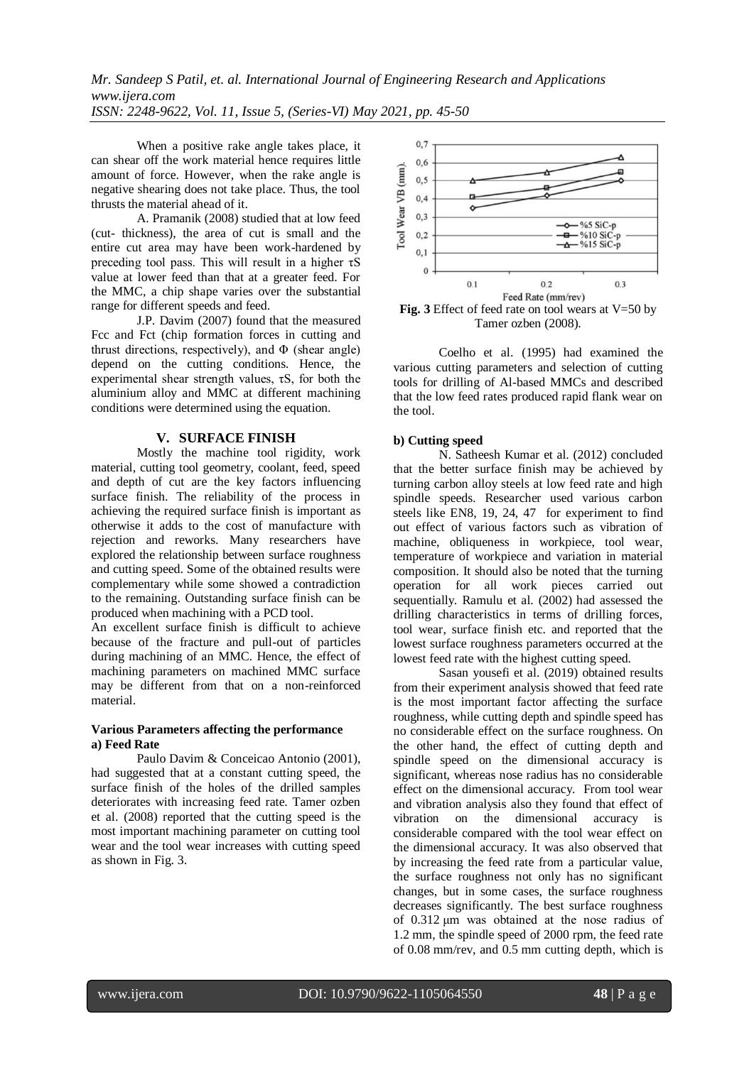When a positive rake angle takes place, it can shear off the work material hence requires little amount of force. However, when the rake angle is negative shearing does not take place. Thus, the tool thrusts the material ahead of it.

A. Pramanik (2008) studied that at low feed (cut- thickness), the area of cut is small and the entire cut area may have been work-hardened by preceding tool pass. This will result in a higher  $\tau S$ value at lower feed than that at a greater feed. For the MMC, a chip shape varies over the substantial range for different speeds and feed.

J.P. Davim (2007) found that the measured Fcc and Fct (chip formation forces in cutting and thrust directions, respectively), and  $\Phi$  (shear angle) depend on the cutting conditions. Hence, the experimental shear strength values,  $\tau S$ , for both the aluminium alloy and MMC at different machining conditions were determined using the equation.

# **V. SURFACE FINISH**

Mostly the machine tool rigidity, work material, cutting tool geometry, coolant, feed, speed and depth of cut are the key factors influencing surface finish. The reliability of the process in achieving the required surface finish is important as otherwise it adds to the cost of manufacture with rejection and reworks. Many researchers have explored the relationship between surface roughness and cutting speed. Some of the obtained results were complementary while some showed a contradiction to the remaining. Outstanding surface finish can be produced when machining with a PCD tool.

An excellent surface finish is difficult to achieve because of the fracture and pull-out of particles during machining of an MMC. Hence, the effect of machining parameters on machined MMC surface may be different from that on a non-reinforced material.

# **Various Parameters affecting the performance a) Feed Rate**

Paulo Davim & Conceicao Antonio (2001), had suggested that at a constant cutting speed, the surface finish of the holes of the drilled samples deteriorates with increasing feed rate. Tamer ozben et al. (2008) reported that the cutting speed is the most important machining parameter on cutting tool wear and the tool wear increases with cutting speed as shown in Fig. 3.



Tamer ozben (2008).

Coelho et al. (1995) had examined the various cutting parameters and selection of cutting tools for drilling of Al-based MMCs and described that the low feed rates produced rapid flank wear on the tool.

# **b) Cutting speed**

[N. Satheesh](https://www.sciencedirect.com/science/article/pii/S1877705812020000#!) Kumar et al. (2012) concluded that the better surface finish may be achieved by turning carbon alloy steels at low feed rate and high spindle speeds. Researcher used various carbon steels like EN8, 19, 24, 47 for experiment to find out effect of various factors such as vibration of machine, obliqueness in workpiece, tool wear, temperature of workpiece and variation in material composition. It should also be noted that the turning operation for all work pieces carried out sequentially. Ramulu et al. (2002) had assessed the drilling characteristics in terms of drilling forces, tool wear, surface finish etc. and reported that the lowest surface roughness parameters occurred at the lowest feed rate with the highest cutting speed.

Sasan yousefi et al. (2019) obtained results from their experiment analysis showed that feed rate is the most important factor affecting the surface roughness, while cutting depth and spindle speed has no considerable effect on the surface roughness. On the other hand, the effect of cutting depth and spindle speed on the dimensional accuracy is significant, whereas nose radius has no considerable effect on the dimensional accuracy. From tool wear and vibration analysis also they found that effect of vibration on the dimensional accuracy is considerable compared with the tool wear effect on the dimensional accuracy. It was also observed that by increasing the feed rate from a particular value, the surface roughness not only has no significant changes, but in some cases, the surface roughness decreases significantly. The best surface roughness of 0.312 μm was obtained at the nose radius of 1.2 mm, the spindle speed of 2000 rpm, the feed rate of 0.08 mm/rev, and 0.5 mm cutting depth, which is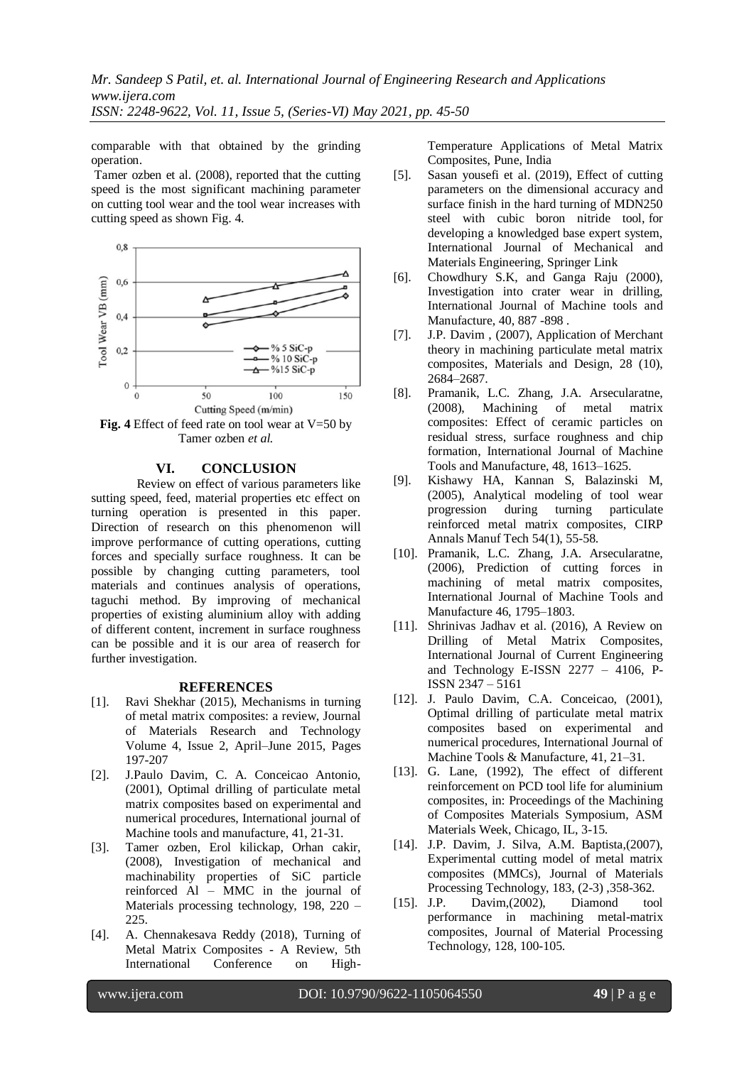comparable with that obtained by the grinding operation.

Tamer ozben et al. (2008), reported that the cutting speed is the most significant machining parameter on cutting tool wear and the tool wear increases with cutting speed as shown Fig. 4.



**Fig. 4** Effect of feed rate on tool wear at V=50 by Tamer ozben *et al.*

#### **VI. CONCLUSION**

Review on effect of various parameters like sutting speed, feed, material properties etc effect on turning operation is presented in this paper. Direction of research on this phenomenon will improve performance of cutting operations, cutting forces and specially surface roughness. It can be possible by changing cutting parameters, tool materials and continues analysis of operations, taguchi method. By improving of mechanical properties of existing aluminium alloy with adding of different content, increment in surface roughness can be possible and it is our area of reaserch for further investigation.

## **REFERENCES**

- [1]. Ravi Shekhar (2015), Mechanisms in turning of metal matrix composites: a review, Journal of Materials Research and Technology Volume 4, Issue 2, April–June 2015, Pages 197-207
- [2]. J.Paulo Davim, C. A. Conceicao Antonio, (2001), Optimal drilling of particulate metal matrix composites based on experimental and numerical procedures, International journal of Machine tools and manufacture, 41, 21-31.
- [3]. Tamer ozben, Erol kilickap, Orhan cakir, (2008), Investigation of mechanical and machinability properties of SiC particle reinforced Al – MMC in the journal of Materials processing technology, 198, 220 – 225.
- [4]. A. Chennakesava Reddy (2018), Turning of Metal Matrix Composites - A Review, 5th International Conference on High-

Temperature Applications of Metal Matrix Composites, Pune, India

- [5]. Sasan yousefi et al. (2019), Effect of cutting parameters on the dimensional accuracy and surface finish in the hard turning of MDN250 steel with cubic boron nitride tool, for developing a knowledged base expert system, [International Journal of Mechanical and](https://ijmme.springeropen.com/)  [Materials Engineering,](https://ijmme.springeropen.com/) Springer Link
- [6]. Chowdhury S.K, and Ganga Raju (2000), Investigation into crater wear in drilling, International Journal of Machine tools and Manufacture, 40, 887 -898 .
- [7]. J.P. Davim , (2007), Application of Merchant theory in machining particulate metal matrix composites, Materials and Design, 28 (10), 2684–2687.
- [8]. Pramanik, L.C. Zhang, J.A. Arsecularatne, (2008), Machining of metal matrix composites: Effect of ceramic particles on residual stress, surface roughness and chip formation, International Journal of Machine Tools and Manufacture, 48, 1613–1625.
- [9]. Kishawy HA, Kannan S, Balazinski M, (2005), Analytical modeling of tool wear progression during turning particulate reinforced metal matrix composites, CIRP Annals Manuf Tech 54(1), 55-58.
- [10]. Pramanik, L.C. Zhang, J.A. Arsecularatne, (2006), Prediction of cutting forces in machining of metal matrix composites, International Journal of Machine Tools and Manufacture 46, 1795–1803.
- [11]. Shrinivas Jadhav et al. (2016), A Review on Drilling of Metal Matrix Composites, International Journal of Current Engineering and Technology E-ISSN 2277 – 4106, P-ISSN 2347 – 5161
- [12]. J. Paulo Davim, C.A. Conceicao, (2001), Optimal drilling of particulate metal matrix composites based on experimental and numerical procedures, International Journal of Machine Tools & Manufacture, 41, 21–31.
- [13]. G. Lane, (1992), The effect of different reinforcement on PCD tool life for aluminium composites, in: Proceedings of the Machining of Composites Materials Symposium, ASM Materials Week, Chicago, IL, 3-15.
- [14]. J.P. Davim, J. Silva, A.M. Baptista, (2007), Experimental cutting model of metal matrix composites (MMCs), Journal of Materials Processing Technology, 183, (2-3) ,358-362.
- [15]. J.P. Davim,(2002), Diamond tool performance in machining metal-matrix composites, Journal of Material Processing Technology, 128, 100-105.